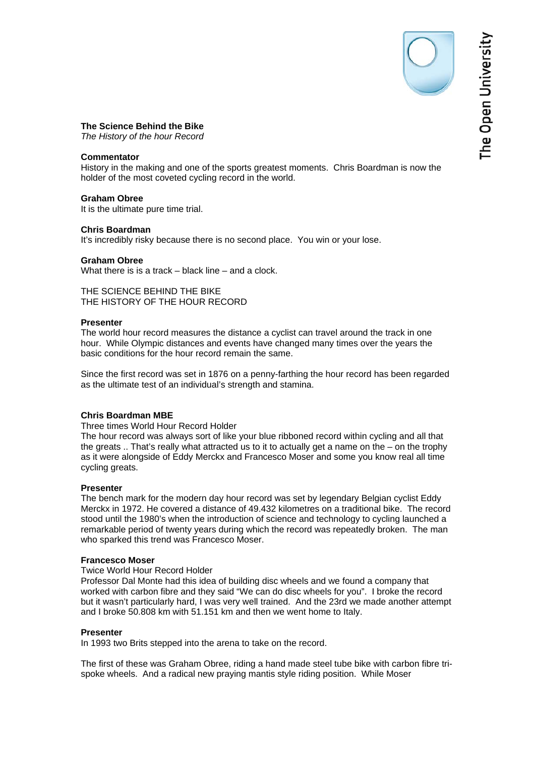The Open University

# **The Science Behind the Bike**

*The History of the hour Record* 

# **Commentator**

History in the making and one of the sports greatest moments. Chris Boardman is now the holder of the most coveted cycling record in the world.

# **Graham Obree**

It is the ultimate pure time trial.

## **Chris Boardman**

It's incredibly risky because there is no second place. You win or your lose.

## **Graham Obree**

What there is is a track – black line – and a clock.

THE SCIENCE BEHIND THE BIKE THE HISTORY OF THE HOUR RECORD

## **Presenter**

The world hour record measures the distance a cyclist can travel around the track in one hour. While Olympic distances and events have changed many times over the years the basic conditions for the hour record remain the same.

Since the first record was set in 1876 on a penny-farthing the hour record has been regarded as the ultimate test of an individual's strength and stamina.

# **Chris Boardman MBE**

Three times World Hour Record Holder

The hour record was always sort of like your blue ribboned record within cycling and all that the greats  $\ldots$  That's really what attracted us to it to actually get a name on the – on the trophy as it were alongside of Eddy Merckx and Francesco Moser and some you know real all time cycling greats.

# **Presenter**

The bench mark for the modern day hour record was set by legendary Belgian cyclist Eddy Merckx in 1972. He covered a distance of 49.432 kilometres on a traditional bike. The record stood until the 1980's when the introduction of science and technology to cycling launched a remarkable period of twenty years during which the record was repeatedly broken. The man who sparked this trend was Francesco Moser.

# **Francesco Moser**

# Twice World Hour Record Holder

Professor Dal Monte had this idea of building disc wheels and we found a company that worked with carbon fibre and they said "We can do disc wheels for you". I broke the record but it wasn't particularly hard, I was very well trained. And the 23rd we made another attempt and I broke 50.808 km with 51.151 km and then we went home to Italy.

#### **Presenter**

In 1993 two Brits stepped into the arena to take on the record.

The first of these was Graham Obree, riding a hand made steel tube bike with carbon fibre trispoke wheels. And a radical new praying mantis style riding position. While Moser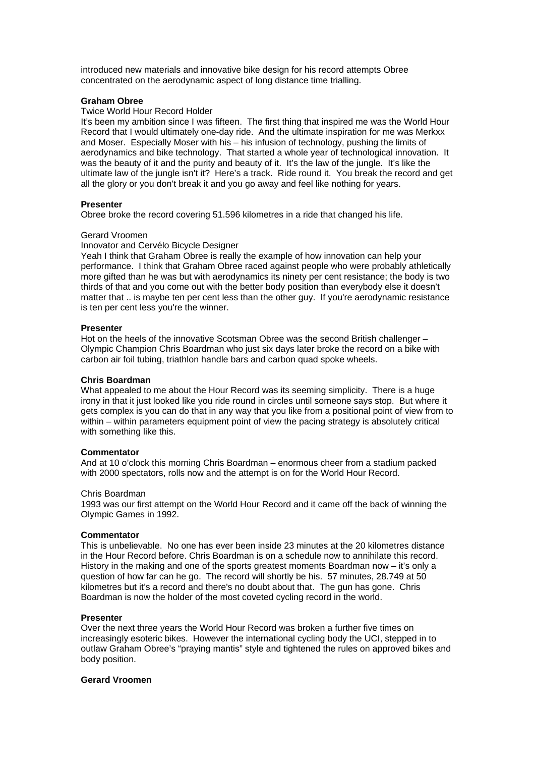introduced new materials and innovative bike design for his record attempts Obree concentrated on the aerodynamic aspect of long distance time trialling.

# **Graham Obree**

## Twice World Hour Record Holder

It's been my ambition since I was fifteen. The first thing that inspired me was the World Hour Record that I would ultimately one-day ride. And the ultimate inspiration for me was Merkxx and Moser. Especially Moser with his – his infusion of technology, pushing the limits of aerodynamics and bike technology. That started a whole year of technological innovation. It was the beauty of it and the purity and beauty of it. It's the law of the jungle. It's like the ultimate law of the jungle isn't it? Here's a track. Ride round it. You break the record and get all the glory or you don't break it and you go away and feel like nothing for years.

## **Presenter**

Obree broke the record covering 51.596 kilometres in a ride that changed his life.

#### Gerard Vroomen

## Innovator and Cervélo Bicycle Designer

Yeah I think that Graham Obree is really the example of how innovation can help your performance. I think that Graham Obree raced against people who were probably athletically more gifted than he was but with aerodynamics its ninety per cent resistance; the body is two thirds of that and you come out with the better body position than everybody else it doesn't matter that .. is maybe ten per cent less than the other guy. If you're aerodynamic resistance is ten per cent less you're the winner.

## **Presenter**

Hot on the heels of the innovative Scotsman Obree was the second British challenger – Olympic Champion Chris Boardman who just six days later broke the record on a bike with carbon air foil tubing, triathlon handle bars and carbon quad spoke wheels.

#### **Chris Boardman**

What appealed to me about the Hour Record was its seeming simplicity. There is a huge irony in that it just looked like you ride round in circles until someone says stop. But where it gets complex is you can do that in any way that you like from a positional point of view from to within – within parameters equipment point of view the pacing strategy is absolutely critical with something like this.

#### **Commentator**

And at 10 o'clock this morning Chris Boardman – enormous cheer from a stadium packed with 2000 spectators, rolls now and the attempt is on for the World Hour Record.

#### Chris Boardman

1993 was our first attempt on the World Hour Record and it came off the back of winning the Olympic Games in 1992.

## **Commentator**

This is unbelievable. No one has ever been inside 23 minutes at the 20 kilometres distance in the Hour Record before. Chris Boardman is on a schedule now to annihilate this record. History in the making and one of the sports greatest moments Boardman now – it's only a question of how far can he go. The record will shortly be his. 57 minutes, 28.749 at 50 kilometres but it's a record and there's no doubt about that. The gun has gone. Chris Boardman is now the holder of the most coveted cycling record in the world.

#### **Presenter**

Over the next three years the World Hour Record was broken a further five times on increasingly esoteric bikes. However the international cycling body the UCI, stepped in to outlaw Graham Obree's "praying mantis" style and tightened the rules on approved bikes and body position.

#### **Gerard Vroomen**